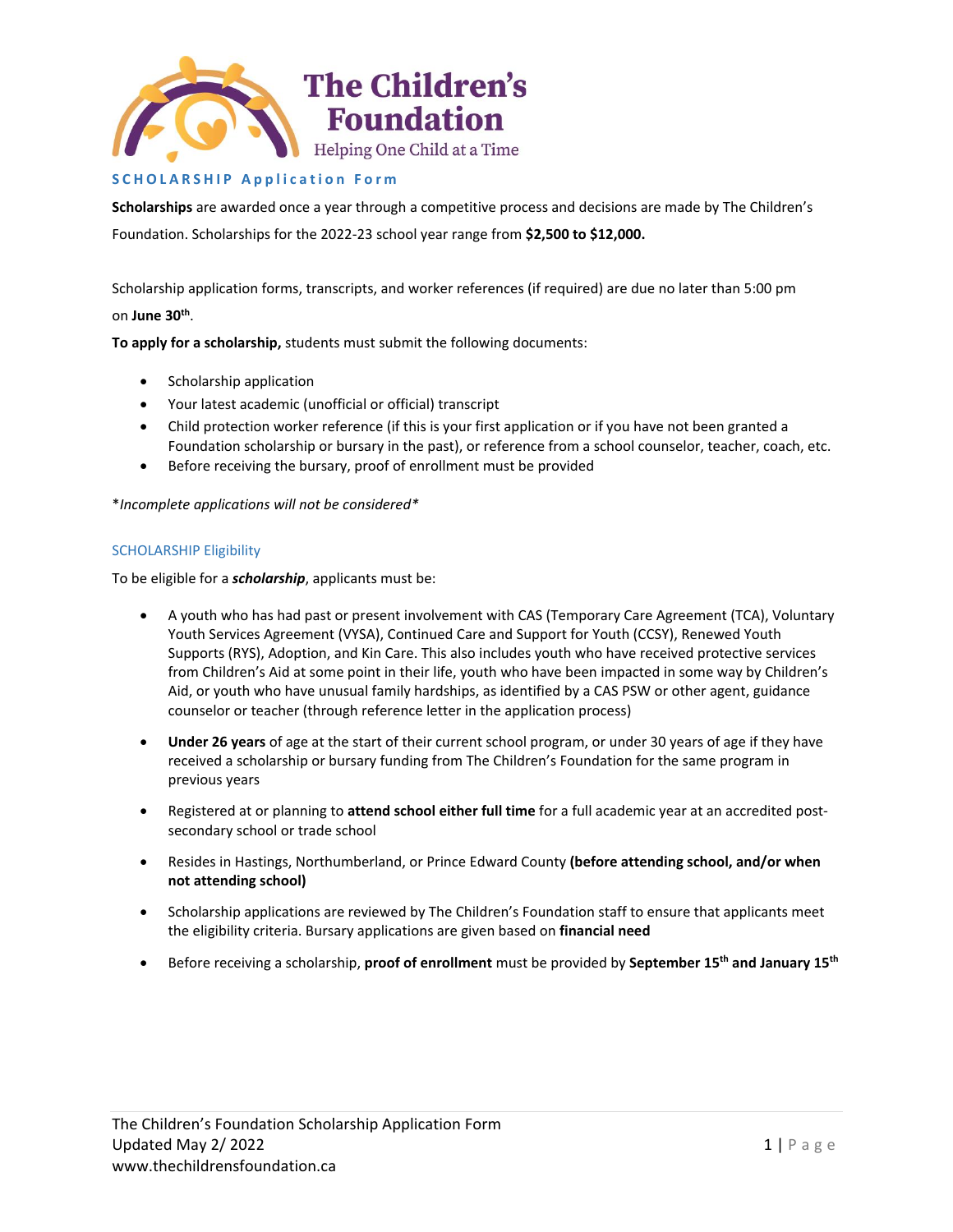

# **S C H O L A R S H I P A p p l i c a t i o n F o r m**

**Scholarships** are awarded once a year through a competitive process and decisions are made by The Children's Foundation. Scholarships for the 2022-23 school year range from **\$2,500 to \$12,000.**

Scholarship application forms, transcripts, and worker references (if required) are due no later than 5:00 pm on **June 30th** .

**To apply for a scholarship,** students must submit the following documents:

- Scholarship application
- Your latest academic (unofficial or official) transcript
- Child protection worker reference (if this is your first application or if you have not been granted a Foundation scholarship or bursary in the past), or reference from a school counselor, teacher, coach, etc.
- Before receiving the bursary, proof of enrollment must be provided

\**Incomplete applications will not be considered\**

# SCHOLARSHIP Eligibility

To be eligible for a *scholarship*, applicants must be:

- A youth who has had past or present involvement with CAS (Temporary Care Agreement (TCA), Voluntary Youth Services Agreement (VYSA), Continued Care and Support for Youth (CCSY), Renewed Youth Supports (RYS), Adoption, and Kin Care. This also includes youth who have received protective services from Children's Aid at some point in their life, youth who have been impacted in some way by Children's Aid, or youth who have unusual family hardships, as identified by a CAS PSW or other agent, guidance counselor or teacher (through reference letter in the application process)
- **Under 26 years** of age at the start of their current school program, or under 30 years of age if they have received a scholarship or bursary funding from The Children's Foundation for the same program in previous years
- Registered at or planning to **attend school either full time** for a full academic year at an accredited postsecondary school or trade school
- Resides in Hastings, Northumberland, or Prince Edward County **(before attending school, and/or when not attending school)**
- Scholarship applications are reviewed by The Children's Foundation staff to ensure that applicants meet the eligibility criteria. Bursary applications are given based on **financial need**
- Before receiving a scholarship, **proof of enrollment** must be provided by **September 15th and January 15th**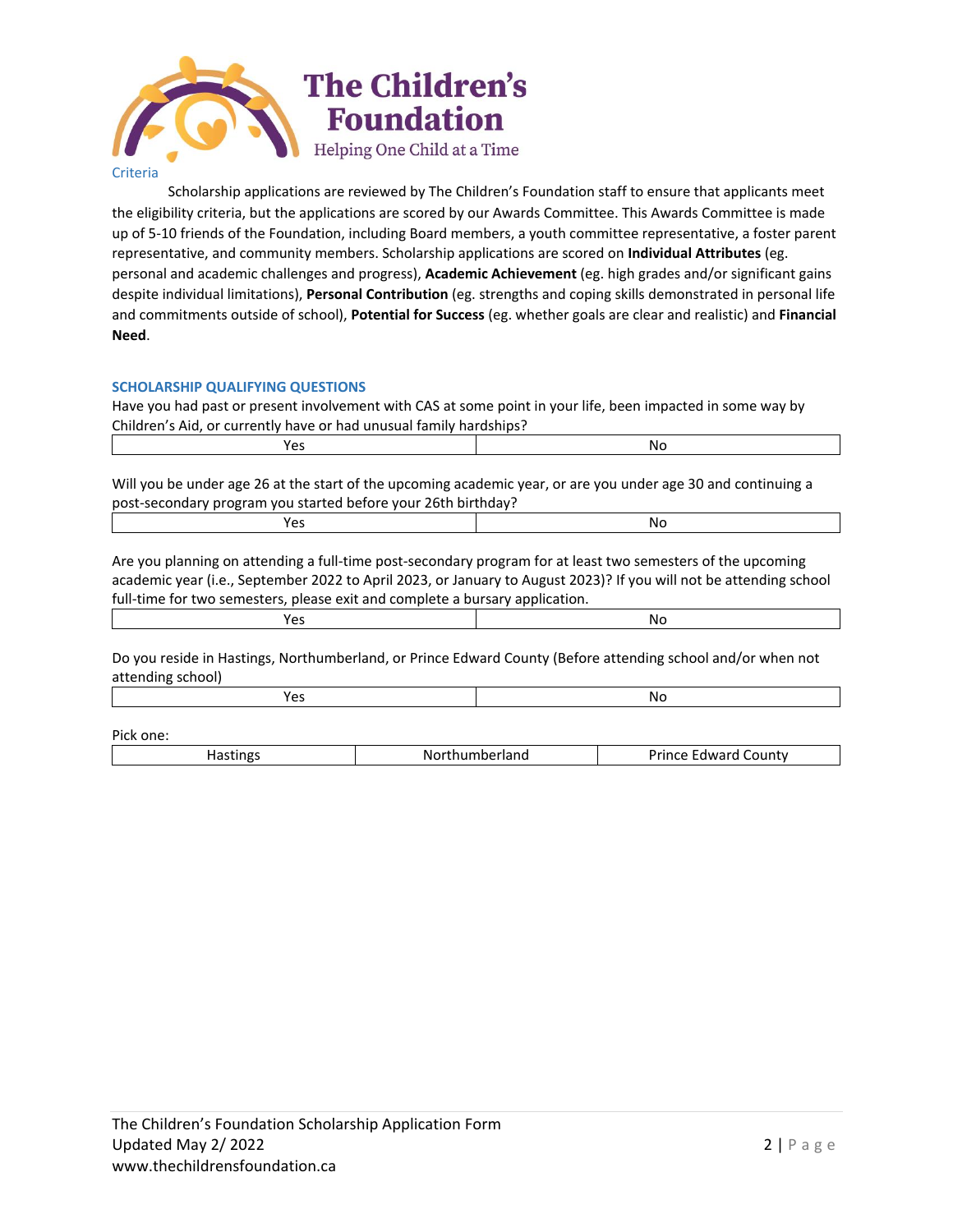

Scholarship applications are reviewed by The Children's Foundation staff to ensure that applicants meet the eligibility criteria, but the applications are scored by our Awards Committee. This Awards Committee is made up of 5-10 friends of the Foundation, including Board members, a youth committee representative, a foster parent representative, and community members. Scholarship applications are scored on **Individual Attributes** (eg. personal and academic challenges and progress), **Academic Achievement** (eg. high grades and/or significant gains despite individual limitations), **Personal Contribution** (eg. strengths and coping skills demonstrated in personal life and commitments outside of school), **Potential for Success** (eg. whether goals are clear and realistic) and **Financial Need**.

# **SCHOLARSHIP QUALIFYING QUESTIONS**

Have you had past or present involvement with CAS at some point in your life, been impacted in some way by Children's Aid, or currently have or had unusual family hardships?

| ∼  | NC. |
|----|-----|
| __ | __  |
|    |     |

Will you be under age 26 at the start of the upcoming academic year, or are you under age 30 and continuing a post-secondary program you started before your 26th birthday?

| N0 |
|----|
|    |

Are you planning on attending a full-time post-secondary program for at least two semesters of the upcoming academic year (i.e., September 2022 to April 2023, or January to August 2023)? If you will not be attending school full-time for two semesters, please exit and complete a bursary application.

|--|

Do you reside in Hastings, Northumberland, or Prince Edward County (Before attending school and/or when not attending school)

| NI 1<br>$\sim$<br>.<br>__ |
|---------------------------|
|---------------------------|

Pick one:

| .<br>-----<br>-Nr.<br>eriand | Drince<br>ountv<br>$-1$<br>nwarr |
|------------------------------|----------------------------------|
|                              |                                  |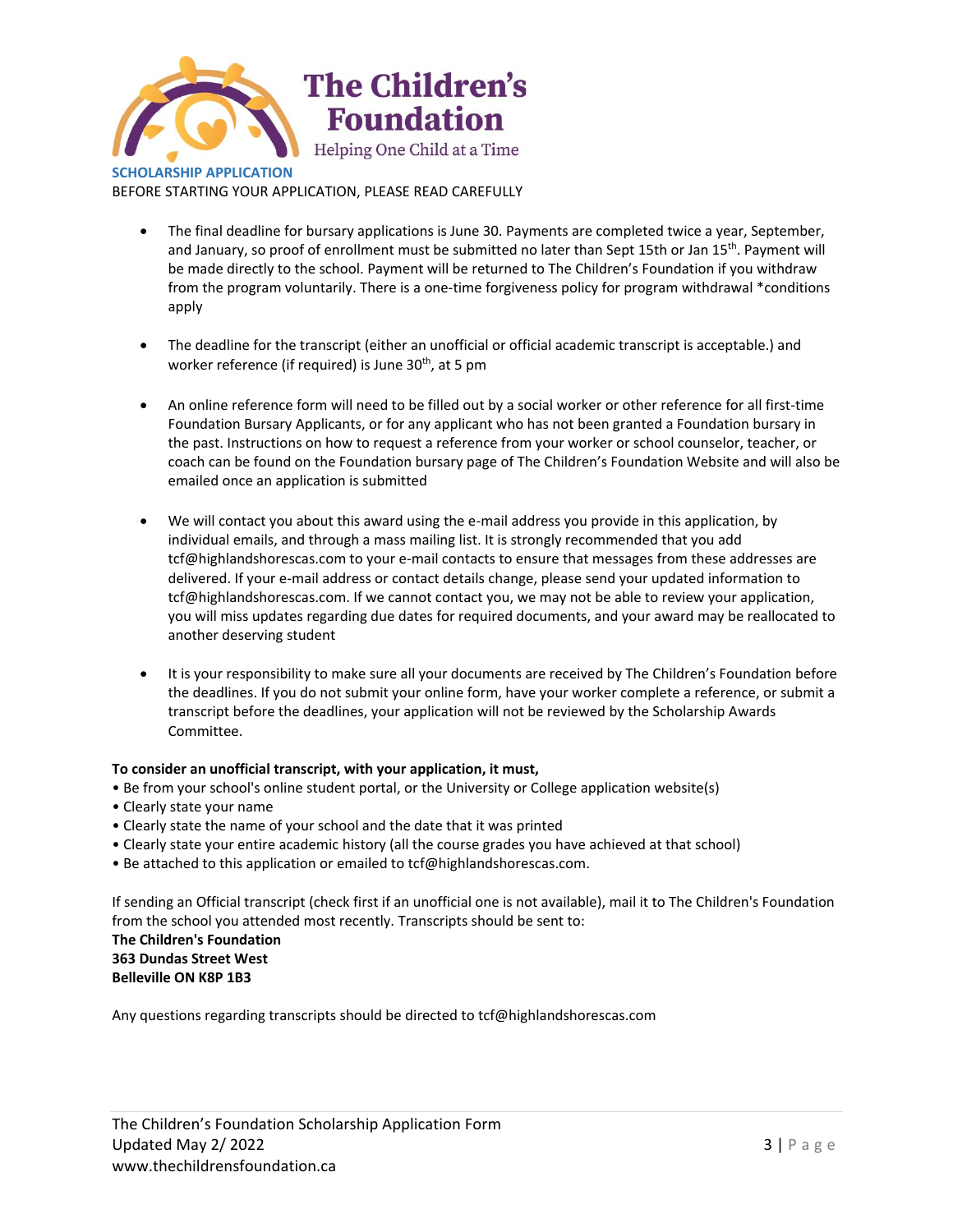

BEFORE STARTING YOUR APPLICATION, PLEASE READ CAREFULLY

- The final deadline for bursary applications is June 30. Payments are completed twice a year, September, and January, so proof of enrollment must be submitted no later than Sept 15th or Jan 15<sup>th</sup>. Payment will be made directly to the school. Payment will be returned to The Children's Foundation if you withdraw from the program voluntarily. There is a one-time forgiveness policy for program withdrawal \*conditions apply
- The deadline for the transcript (either an unofficial or official academic transcript is acceptable.) and worker reference (if required) is June 30<sup>th</sup>, at 5 pm
- An online reference form will need to be filled out by a social worker or other reference for all first-time Foundation Bursary Applicants, or for any applicant who has not been granted a Foundation bursary in the past. Instructions on how to request a reference from your worker or school counselor, teacher, or coach can be found on the Foundation bursary page of The Children's Foundation Website and will also be emailed once an application is submitted
- We will contact you about this award using the e-mail address you provide in this application, by individual emails, and through a mass mailing list. It is strongly recommended that you add tcf@highlandshorescas.com to your e-mail contacts to ensure that messages from these addresses are delivered. If your e-mail address or contact details change, please send your updated information to tcf@highlandshorescas.com. If we cannot contact you, we may not be able to review your application, you will miss updates regarding due dates for required documents, and your award may be reallocated to another deserving student
- It is your responsibility to make sure all your documents are received by The Children's Foundation before the deadlines. If you do not submit your online form, have your worker complete a reference, or submit a transcript before the deadlines, your application will not be reviewed by the Scholarship Awards Committee.

# **To consider an unofficial transcript, with your application, it must,**

- Be from your school's online student portal, or the University or College application website(s)
- Clearly state your name
- Clearly state the name of your school and the date that it was printed
- Clearly state your entire academic history (all the course grades you have achieved at that school)
- Be attached to this application or emailed to tcf@highlandshorescas.com.

If sending an Official transcript (check first if an unofficial one is not available), mail it to The Children's Foundation from the school you attended most recently. Transcripts should be sent to:

**The Children's Foundation 363 Dundas Street West Belleville ON K8P 1B3**

Any questions regarding transcripts should be directed to tcf@highlandshorescas.com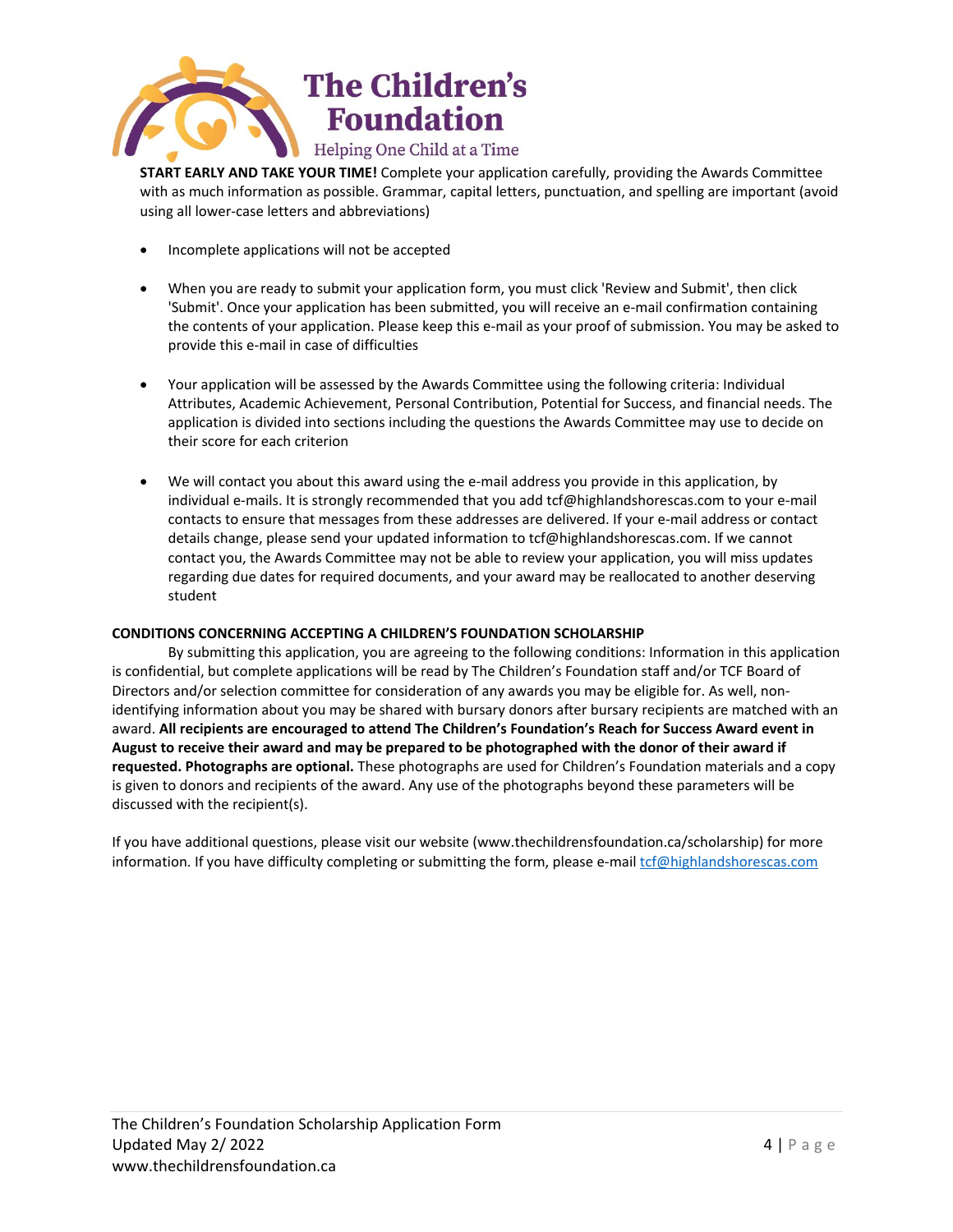

**START EARLY AND TAKE YOUR TIME!** Complete your application carefully, providing the Awards Committee with as much information as possible. Grammar, capital letters, punctuation, and spelling are important (avoid using all lower-case letters and abbreviations)

- Incomplete applications will not be accepted
- When you are ready to submit your application form, you must click 'Review and Submit', then click 'Submit'. Once your application has been submitted, you will receive an e-mail confirmation containing the contents of your application. Please keep this e-mail as your proof of submission. You may be asked to provide this e-mail in case of difficulties
- Your application will be assessed by the Awards Committee using the following criteria: Individual Attributes, Academic Achievement, Personal Contribution, Potential for Success, and financial needs. The application is divided into sections including the questions the Awards Committee may use to decide on their score for each criterion
- We will contact you about this award using the e-mail address you provide in this application, by individual e-mails. It is strongly recommended that you add tcf@highlandshorescas.com to your e-mail contacts to ensure that messages from these addresses are delivered. If your e-mail address or contact details change, please send your updated information to tcf@highlandshorescas.com. If we cannot contact you, the Awards Committee may not be able to review your application, you will miss updates regarding due dates for required documents, and your award may be reallocated to another deserving student

# **CONDITIONS CONCERNING ACCEPTING A CHILDREN'S FOUNDATION SCHOLARSHIP**

By submitting this application, you are agreeing to the following conditions: Information in this application is confidential, but complete applications will be read by The Children's Foundation staff and/or TCF Board of Directors and/or selection committee for consideration of any awards you may be eligible for. As well, nonidentifying information about you may be shared with bursary donors after bursary recipients are matched with an award. **All recipients are encouraged to attend The Children's Foundation's Reach for Success Award event in August to receive their award and may be prepared to be photographed with the donor of their award if requested. Photographs are optional.** These photographs are used for Children's Foundation materials and a copy is given to donors and recipients of the award. Any use of the photographs beyond these parameters will be discussed with the recipient(s).

If you have additional questions, please visit our website (www.thechildrensfoundation.ca/scholarship) for more information. If you have difficulty completing or submitting the form, please e-mai[l tcf@highlandshorescas.com](mailto:grants@cafdn.org)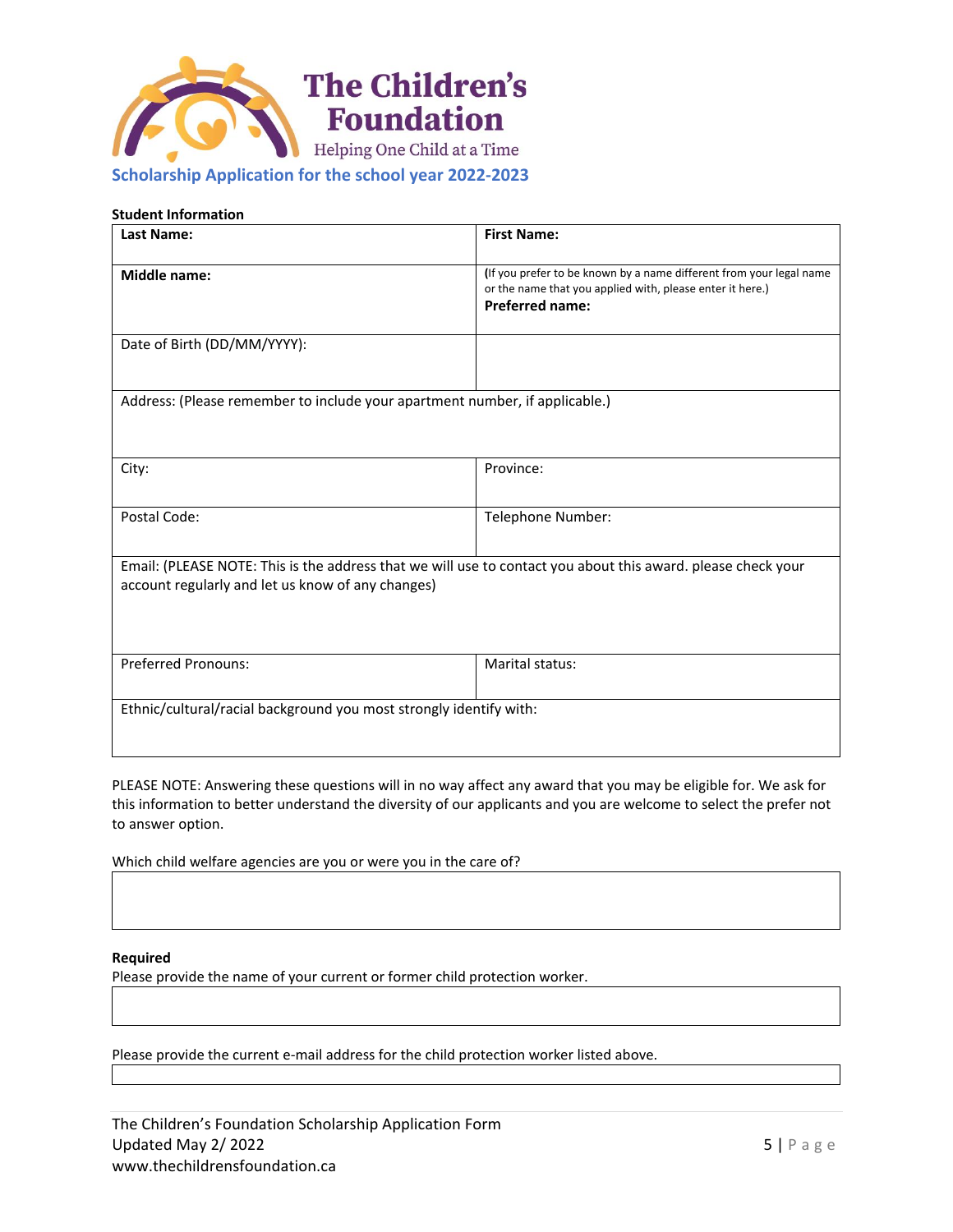

# **Scholarship Application for the school year 2022-2023**

# **Student Information**

| <b>Last Name:</b>                                                                                                                                                 | <b>First Name:</b>                                                                                                                                         |  |
|-------------------------------------------------------------------------------------------------------------------------------------------------------------------|------------------------------------------------------------------------------------------------------------------------------------------------------------|--|
| <b>Middle name:</b>                                                                                                                                               | (If you prefer to be known by a name different from your legal name<br>or the name that you applied with, please enter it here.)<br><b>Preferred name:</b> |  |
| Date of Birth (DD/MM/YYYY):                                                                                                                                       |                                                                                                                                                            |  |
| Address: (Please remember to include your apartment number, if applicable.)                                                                                       |                                                                                                                                                            |  |
| City:                                                                                                                                                             | Province:                                                                                                                                                  |  |
| Postal Code:                                                                                                                                                      | Telephone Number:                                                                                                                                          |  |
| Email: (PLEASE NOTE: This is the address that we will use to contact you about this award. please check your<br>account regularly and let us know of any changes) |                                                                                                                                                            |  |
| <b>Preferred Pronouns:</b>                                                                                                                                        | <b>Marital status:</b>                                                                                                                                     |  |
| Ethnic/cultural/racial background you most strongly identify with:                                                                                                |                                                                                                                                                            |  |

PLEASE NOTE: Answering these questions will in no way affect any award that you may be eligible for. We ask for this information to better understand the diversity of our applicants and you are welcome to select the prefer not to answer option.

Which child welfare agencies are you or were you in the care of?

## **Required**

Please provide the name of your current or former child protection worker.

Please provide the current e-mail address for the child protection worker listed above.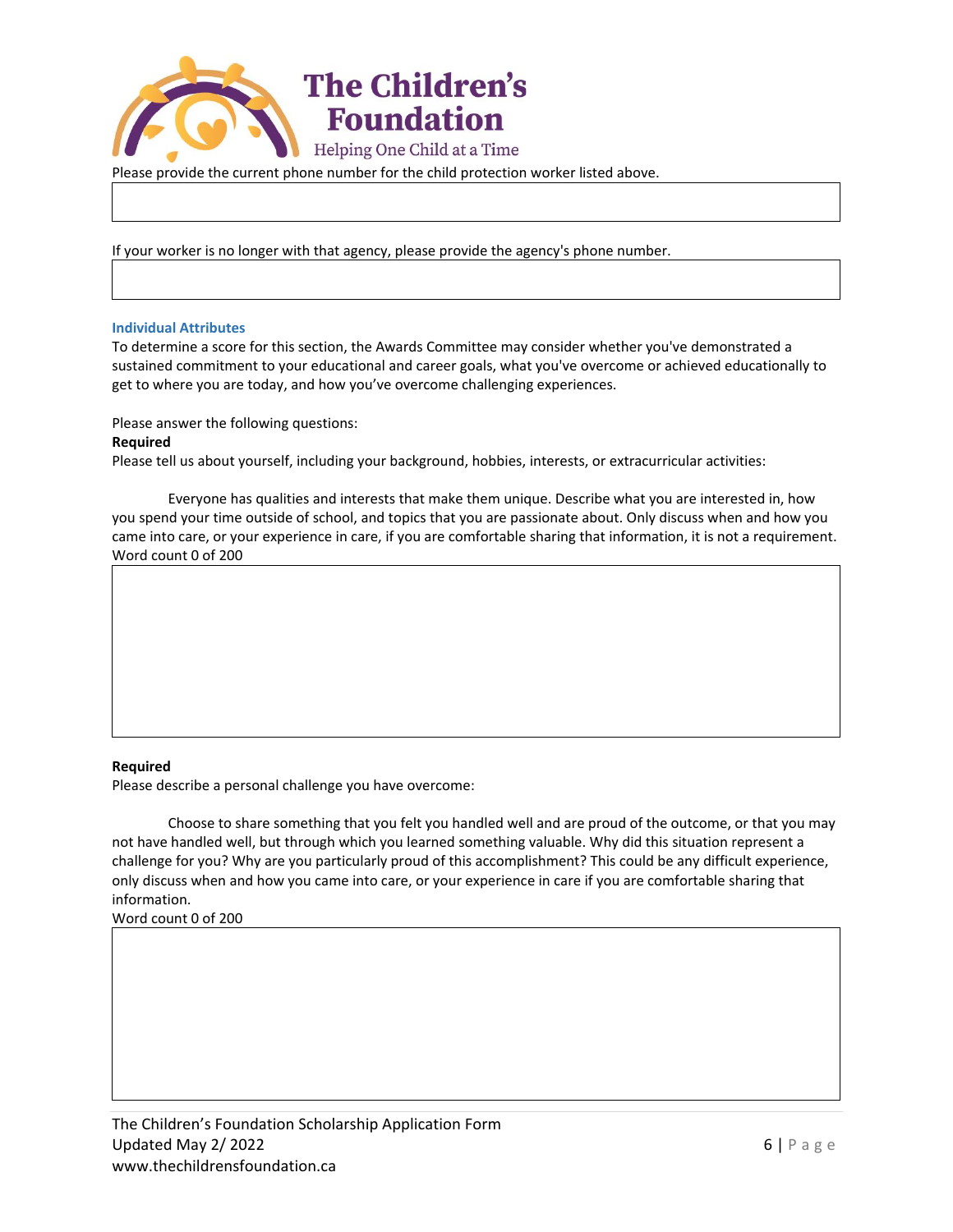

Please provide the current phone number for the child protection worker listed above.

If your worker is no longer with that agency, please provide the agency's phone number.

#### **Individual Attributes**

To determine a score for this section, the Awards Committee may consider whether you've demonstrated a sustained commitment to your educational and career goals, what you've overcome or achieved educationally to get to where you are today, and how you've overcome challenging experiences.

Please answer the following questions:

#### **Required**

Please tell us about yourself, including your background, hobbies, interests, or extracurricular activities:

Everyone has qualities and interests that make them unique. Describe what you are interested in, how you spend your time outside of school, and topics that you are passionate about. Only discuss when and how you came into care, or your experience in care, if you are comfortable sharing that information, it is not a requirement. Word count 0 of 200

#### **Required**

Please describe a personal challenge you have overcome:

Choose to share something that you felt you handled well and are proud of the outcome, or that you may not have handled well, but through which you learned something valuable. Why did this situation represent a challenge for you? Why are you particularly proud of this accomplishment? This could be any difficult experience, only discuss when and how you came into care, or your experience in care if you are comfortable sharing that information.

Word count 0 of 200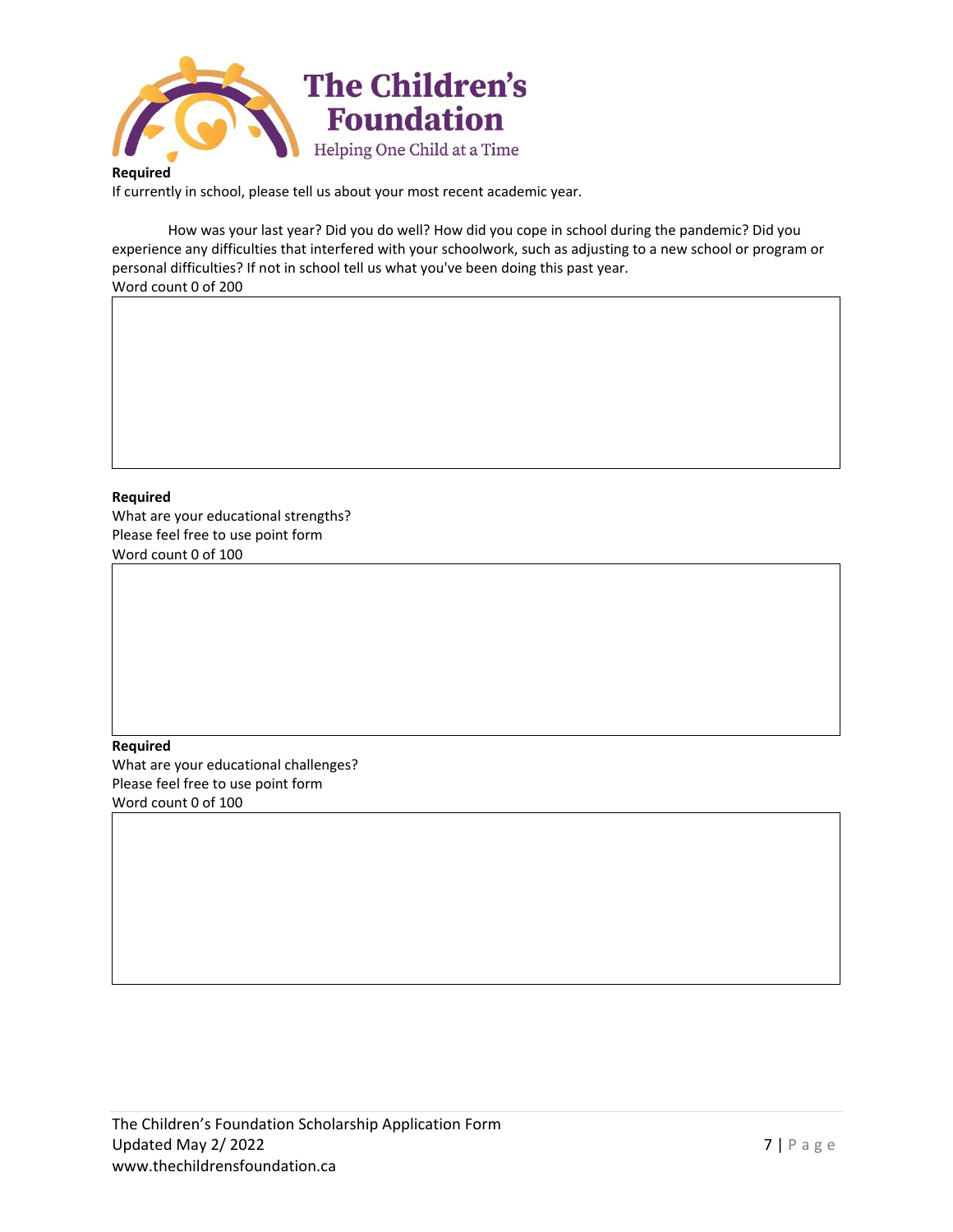

**Required**

If currently in school, please tell us about your most recent academic year.

How was your last year? Did you do well? How did you cope in school during the pandemic? Did you experience any difficulties that interfered with your schoolwork, such as adjusting to a new school or program or personal difficulties? If not in school tell us what you've been doing this past year. Word count 0 of 200



What are your educational strengths? Please feel free to use point form Word count 0 of 100

**Required** What are your educational challenges? Please feel free to use point form Word count 0 of 100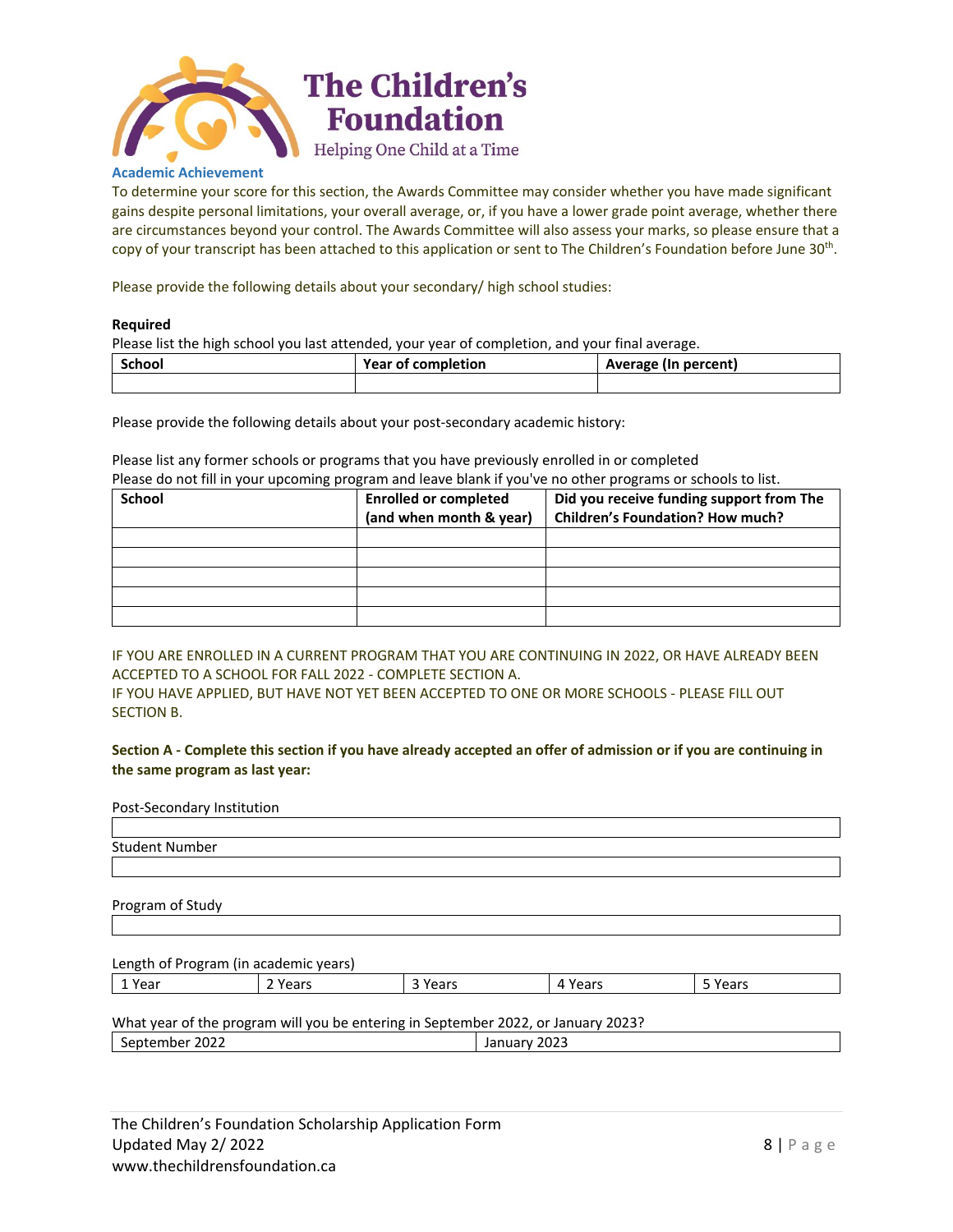

#### **Academic Achievement**

To determine your score for this section, the Awards Committee may consider whether you have made significant gains despite personal limitations, your overall average, or, if you have a lower grade point average, whether there are circumstances beyond your control. The Awards Committee will also assess your marks, so please ensure that a copy of your transcript has been attached to this application or sent to The Children's Foundation before June 30<sup>th</sup>.

Please provide the following details about your secondary/ high school studies:

#### **Required**

Please list the high school you last attended, your year of completion, and your final average.

| <b>School</b> | <b>Year of completion</b> | Average (In percent) |
|---------------|---------------------------|----------------------|
|               |                           |                      |

Please provide the following details about your post-secondary academic history:

Please list any former schools or programs that you have previously enrolled in or completed Please do not fill in your upcoming program and leave blank if you've no other programs or schools to list.

| <b>School</b> | <b>Enrolled or completed</b><br>(and when month & year) | Did you receive funding support from The<br><b>Children's Foundation? How much?</b> |
|---------------|---------------------------------------------------------|-------------------------------------------------------------------------------------|
|               |                                                         |                                                                                     |
|               |                                                         |                                                                                     |
|               |                                                         |                                                                                     |
|               |                                                         |                                                                                     |
|               |                                                         |                                                                                     |

IF YOU ARE ENROLLED IN A CURRENT PROGRAM THAT YOU ARE CONTINUING IN 2022, OR HAVE ALREADY BEEN ACCEPTED TO A SCHOOL FOR FALL 2022 - COMPLETE SECTION A.

IF YOU HAVE APPLIED, BUT HAVE NOT YET BEEN ACCEPTED TO ONE OR MORE SCHOOLS - PLEASE FILL OUT SECTION B.

**Section A - Complete this section if you have already accepted an offer of admission or if you are continuing in the same program as last year:**

## Post-Secondary Institution

| Student Number |  |
|----------------|--|

Program of Study

# Length of Program (in academic years) 1 Year 2 Years 3 Years 4 Years 5 Years

What year of the program will you be entering in September 2022, or January 2023? September 2022 **January 2023**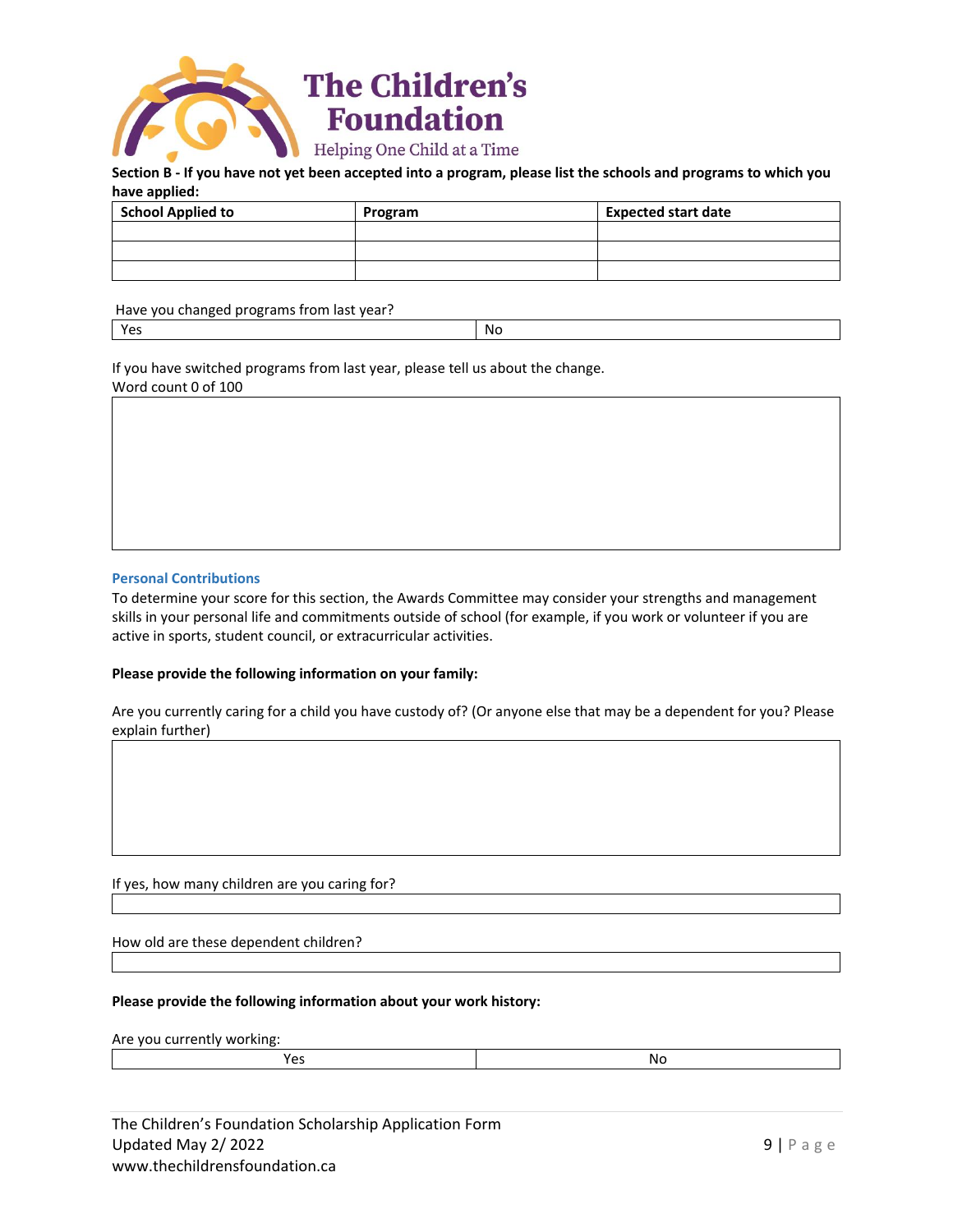

#### **Section B - If you have not yet been accepted into a program, please list the schools and programs to which you have applied:**

| <b>School Applied to</b> | Program | <b>Expected start date</b> |
|--------------------------|---------|----------------------------|
|                          |         |                            |
|                          |         |                            |
|                          |         |                            |

Have you changed programs from last year? Yes and the contract of the contract of the contract of the contract of the contract of the contract of the con

If you have switched programs from last year, please tell us about the change. Word count 0 of 100

# **Personal Contributions**

To determine your score for this section, the Awards Committee may consider your strengths and management skills in your personal life and commitments outside of school (for example, if you work or volunteer if you are active in sports, student council, or extracurricular activities.

# **Please provide the following information on your family:**

Are you currently caring for a child you have custody of? (Or anyone else that may be a dependent for you? Please explain further)

If yes, how many children are you caring for?

How old are these dependent children?

# **Please provide the following information about your work history:**

Are you currently working:

| $ -$ | v |
|------|---|
|      |   |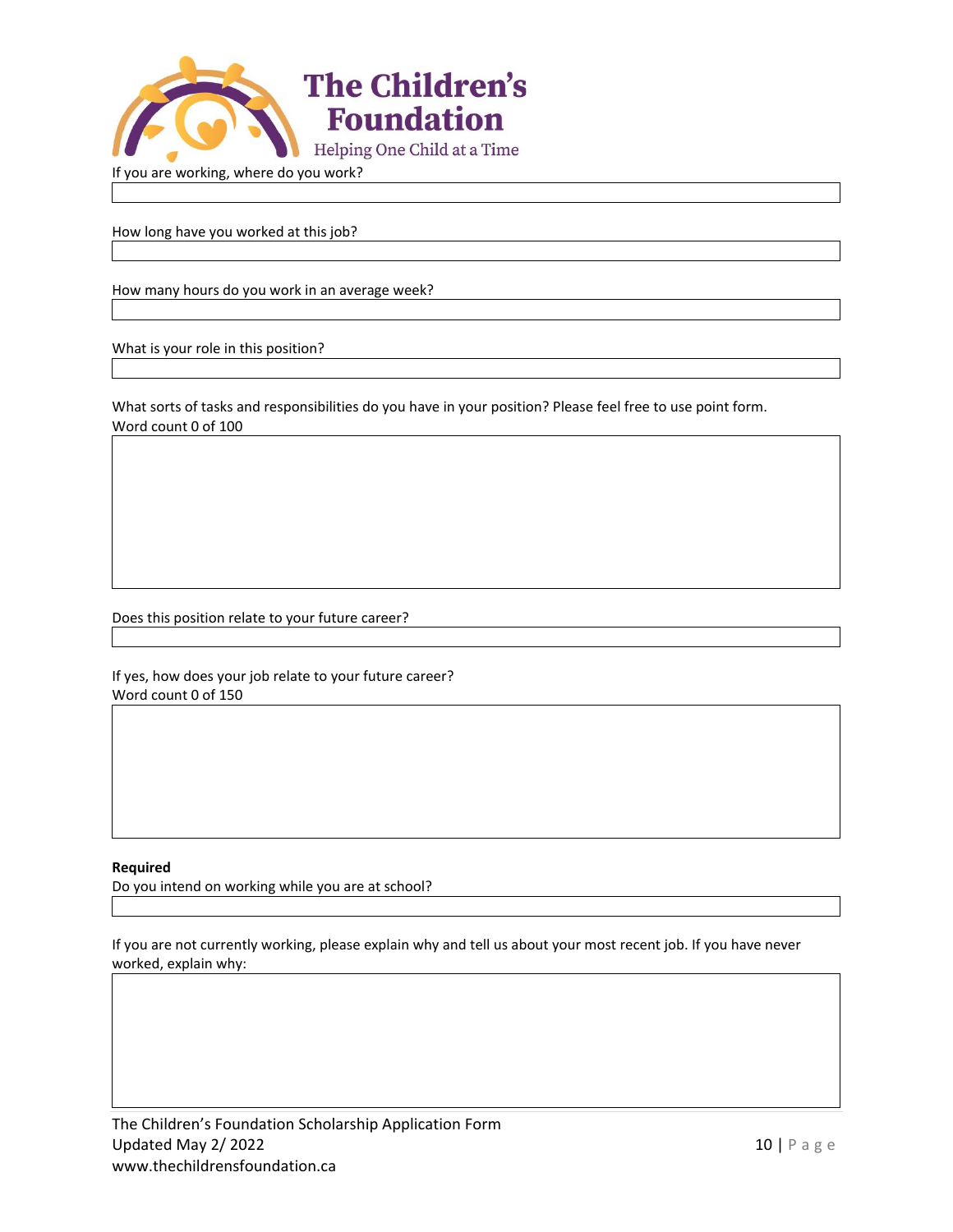

If you are working, where do you work?

How long have you worked at this job?

How many hours do you work in an average week?

What is your role in this position?

What sorts of tasks and responsibilities do you have in your position? Please feel free to use point form. Word count 0 of 100

Does this position relate to your future career?

If yes, how does your job relate to your future career? Word count 0 of 150

#### **Required**

Do you intend on working while you are at school?

If you are not currently working, please explain why and tell us about your most recent job. If you have never worked, explain why: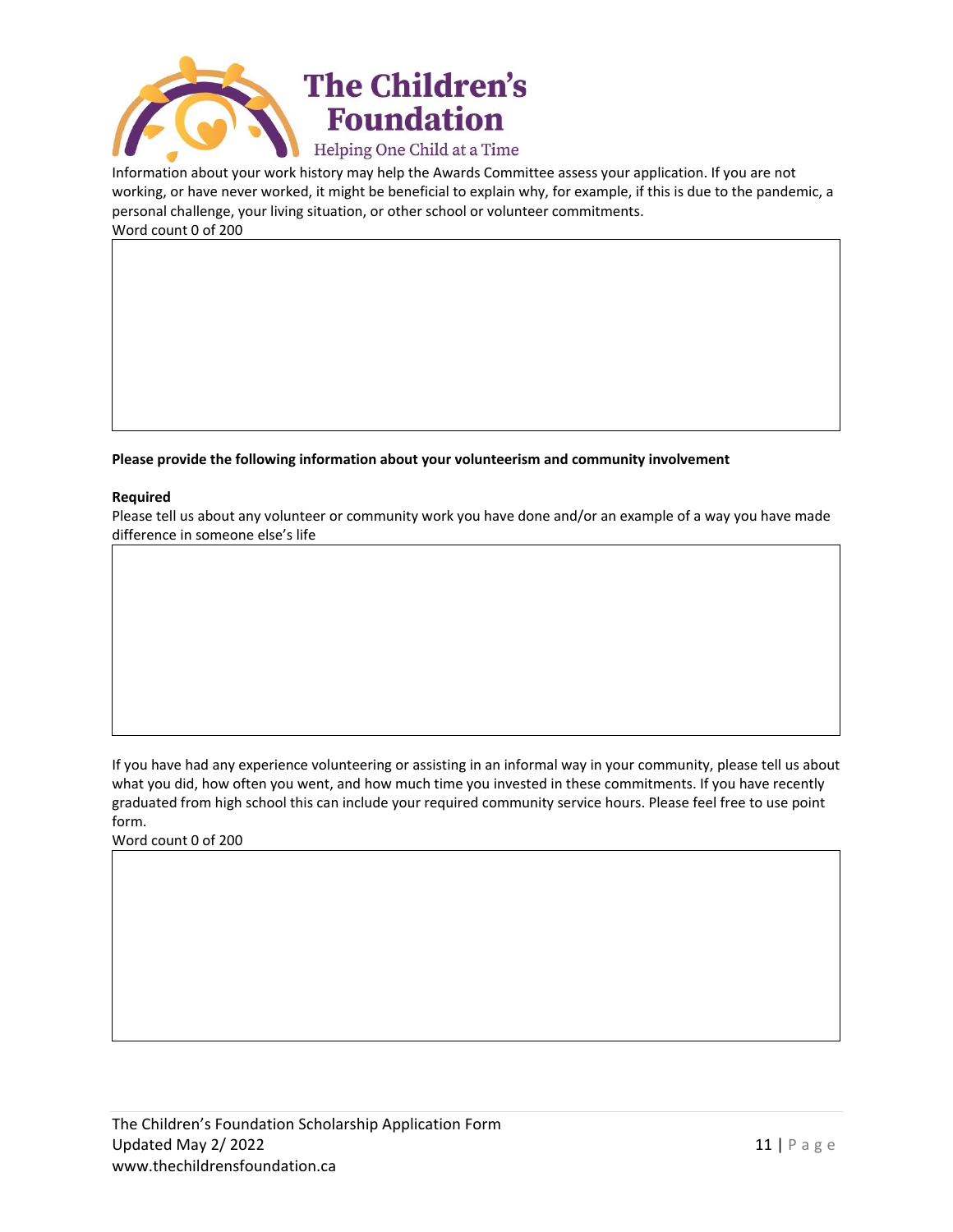

Information about your work history may help the Awards Committee assess your application. If you are not working, or have never worked, it might be beneficial to explain why, for example, if this is due to the pandemic, a personal challenge, your living situation, or other school or volunteer commitments. Word count 0 of 200

**Please provide the following information about your volunteerism and community involvement**

## **Required**

Please tell us about any volunteer or community work you have done and/or an example of a way you have made difference in someone else's life

If you have had any experience volunteering or assisting in an informal way in your community, please tell us about what you did, how often you went, and how much time you invested in these commitments. If you have recently graduated from high school this can include your required community service hours. Please feel free to use point form.

Word count 0 of 200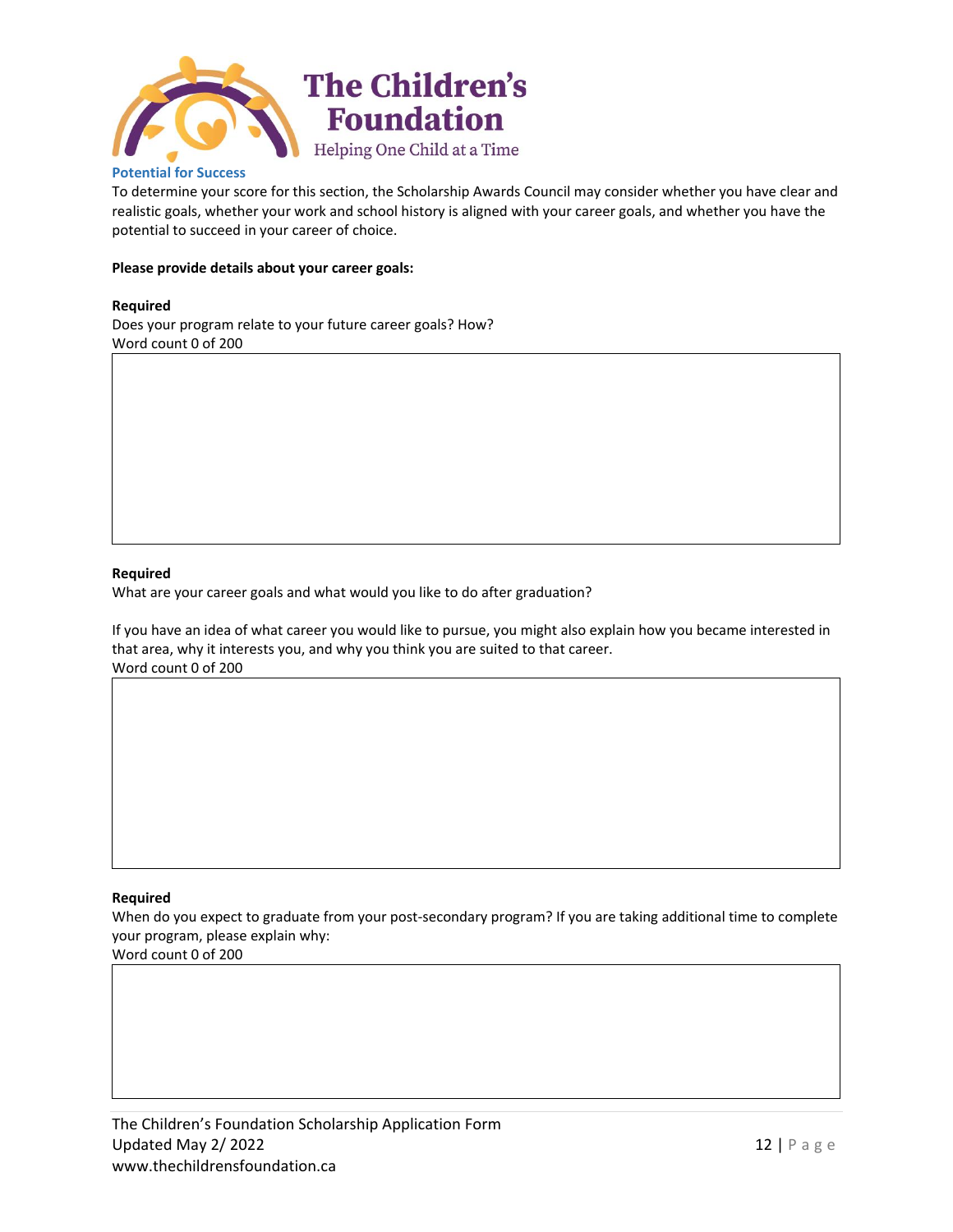

## **Potential for Success**

To determine your score for this section, the Scholarship Awards Council may consider whether you have clear and realistic goals, whether your work and school history is aligned with your career goals, and whether you have the potential to succeed in your career of choice.

### **Please provide details about your career goals:**

#### **Required**

Does your program relate to your future career goals? How? Word count 0 of 200

#### **Required**

What are your career goals and what would you like to do after graduation?

If you have an idea of what career you would like to pursue, you might also explain how you became interested in that area, why it interests you, and why you think you are suited to that career. Word count 0 of 200

## **Required**

When do you expect to graduate from your post-secondary program? If you are taking additional time to complete your program, please explain why:

Word count 0 of 200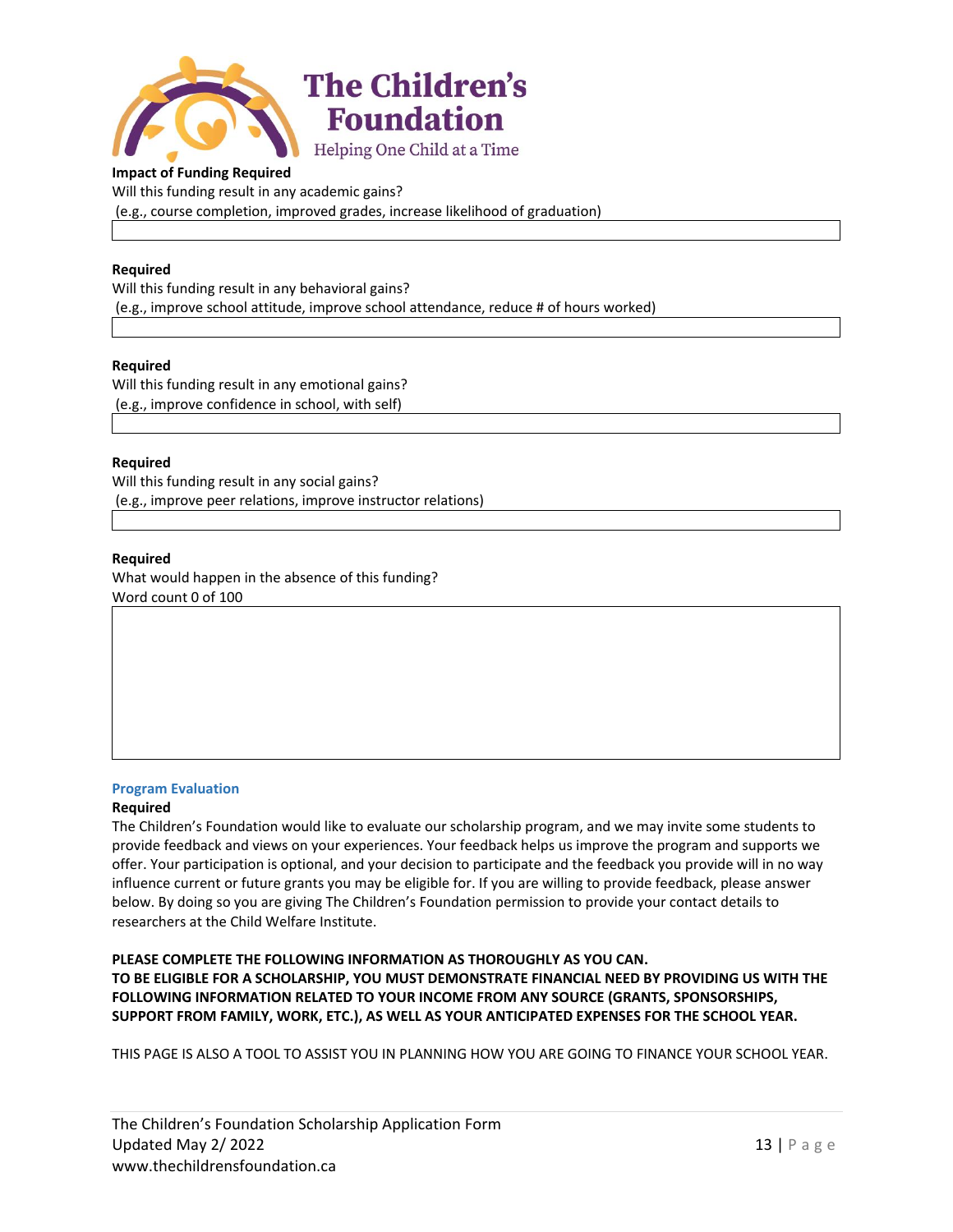

## **Impact of Funding Required**

Will this funding result in any academic gains? (e.g., course completion, improved grades, increase likelihood of graduation)

## **Required**

Will this funding result in any behavioral gains? (e.g., improve school attitude, improve school attendance, reduce # of hours worked)

#### **Required**

Will this funding result in any emotional gains? (e.g., improve confidence in school, with self)

## **Required**

Will this funding result in any social gains? (e.g., improve peer relations, improve instructor relations)

#### **Required**

What would happen in the absence of this funding? Word count 0 of 100

#### **Program Evaluation**

#### **Required**

The Children's Foundation would like to evaluate our scholarship program, and we may invite some students to provide feedback and views on your experiences. Your feedback helps us improve the program and supports we offer. Your participation is optional, and your decision to participate and the feedback you provide will in no way influence current or future grants you may be eligible for. If you are willing to provide feedback, please answer below. By doing so you are giving The Children's Foundation permission to provide your contact details to researchers at the Child Welfare Institute.

**PLEASE COMPLETE THE FOLLOWING INFORMATION AS THOROUGHLY AS YOU CAN. TO BE ELIGIBLE FOR A SCHOLARSHIP, YOU MUST DEMONSTRATE FINANCIAL NEED BY PROVIDING US WITH THE FOLLOWING INFORMATION RELATED TO YOUR INCOME FROM ANY SOURCE (GRANTS, SPONSORSHIPS, SUPPORT FROM FAMILY, WORK, ETC.), AS WELL AS YOUR ANTICIPATED EXPENSES FOR THE SCHOOL YEAR.**

THIS PAGE IS ALSO A TOOL TO ASSIST YOU IN PLANNING HOW YOU ARE GOING TO FINANCE YOUR SCHOOL YEAR.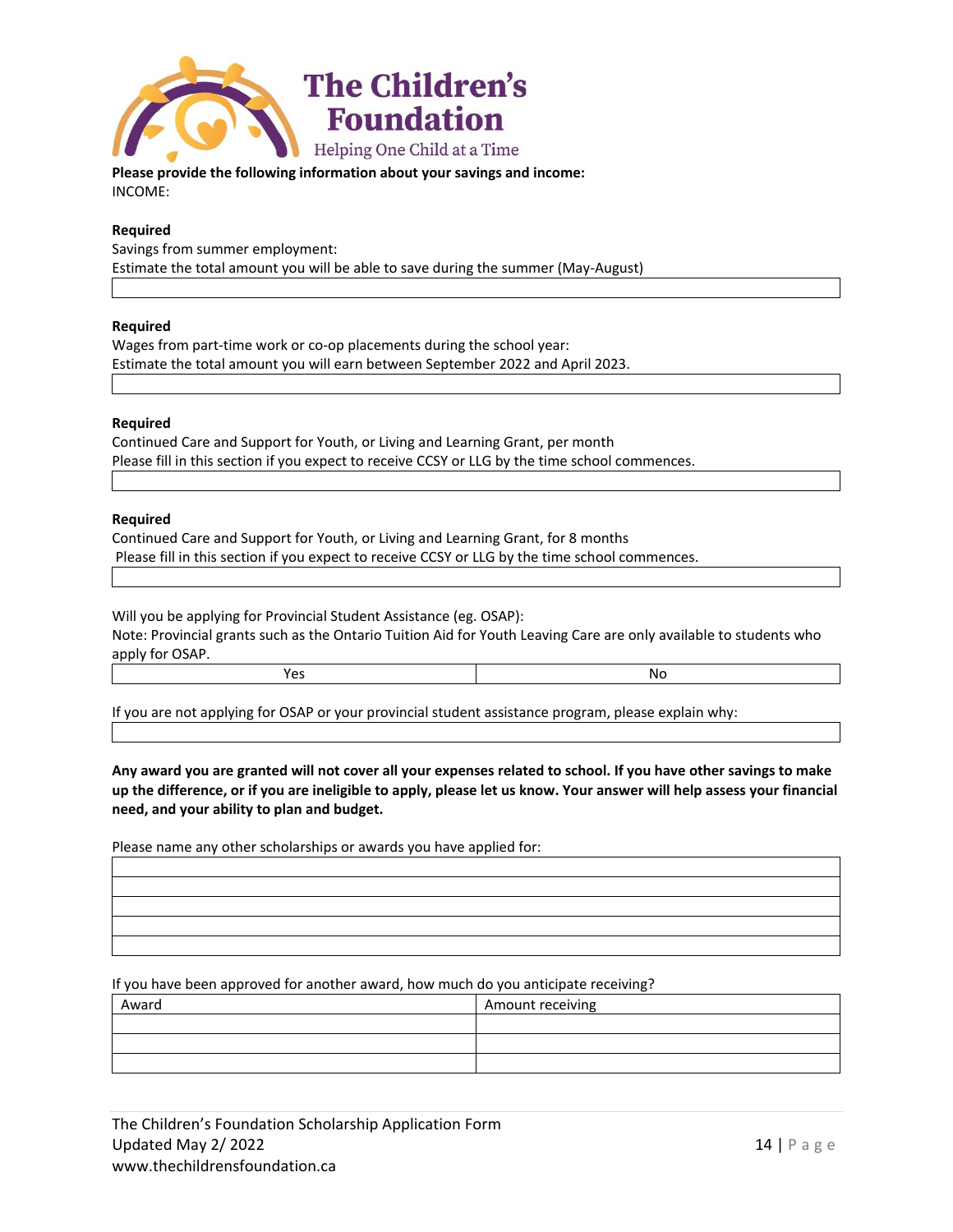

**Please provide the following information about your savings and income:** INCOME:

# **Required**

Savings from summer employment: Estimate the total amount you will be able to save during the summer (May-August)

#### **Required**

Wages from part-time work or co-op placements during the school year: Estimate the total amount you will earn between September 2022 and April 2023.

#### **Required**

Continued Care and Support for Youth, or Living and Learning Grant, per month Please fill in this section if you expect to receive CCSY or LLG by the time school commences.

#### **Required**

Continued Care and Support for Youth, or Living and Learning Grant, for 8 months Please fill in this section if you expect to receive CCSY or LLG by the time school commences.

Will you be applying for Provincial Student Assistance (eg. OSAP): Note: Provincial grants such as the Ontario Tuition Aid for Youth Leaving Care are only available to students who apply for OSAP.

|    | יי  |
|----|-----|
| __ | ___ |

If you are not applying for OSAP or your provincial student assistance program, please explain why:

**Any award you are granted will not cover all your expenses related to school. If you have other savings to make up the difference, or if you are ineligible to apply, please let us know. Your answer will help assess your financial need, and your ability to plan and budget.**

Please name any other scholarships or awards you have applied for:

If you have been approved for another award, how much do you anticipate receiving?

| Award | Amount receiving |
|-------|------------------|
|       |                  |
|       |                  |
|       |                  |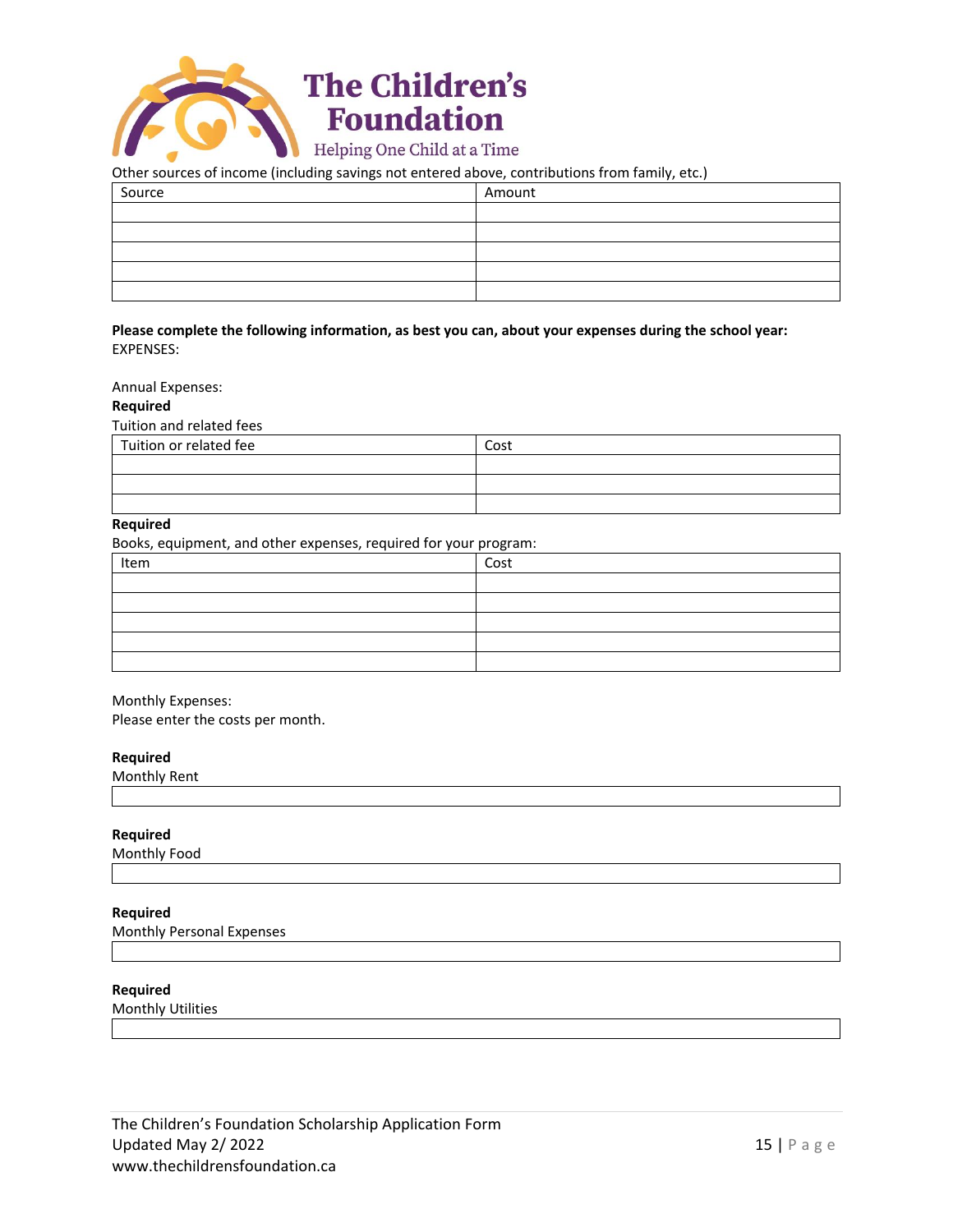

## Other sources of income (including savings not entered above, contributions from family, etc.)

| -<br>  | $\cdot$ $\cdot$ |
|--------|-----------------|
| Source | Amount          |
|        |                 |
|        |                 |
|        |                 |
|        |                 |
|        |                 |

## **Please complete the following information, as best you can, about your expenses during the school year:** EXPENSES:

### Annual Expenses:

#### **Required**

Tuition and related fees

| Tuition or related fee | Cost |
|------------------------|------|
|                        |      |
|                        |      |
|                        |      |

## **Required**

Books, equipment, and other expenses, required for your program:

| Item | Cost |
|------|------|
|      |      |
|      |      |
|      |      |
|      |      |
|      |      |

## Monthly Expenses:

Please enter the costs per month.

#### **Required**

Monthly Rent

## **Required**

Monthly Food

#### **Required**

Monthly Personal Expenses

#### **Required**

Monthly Utilities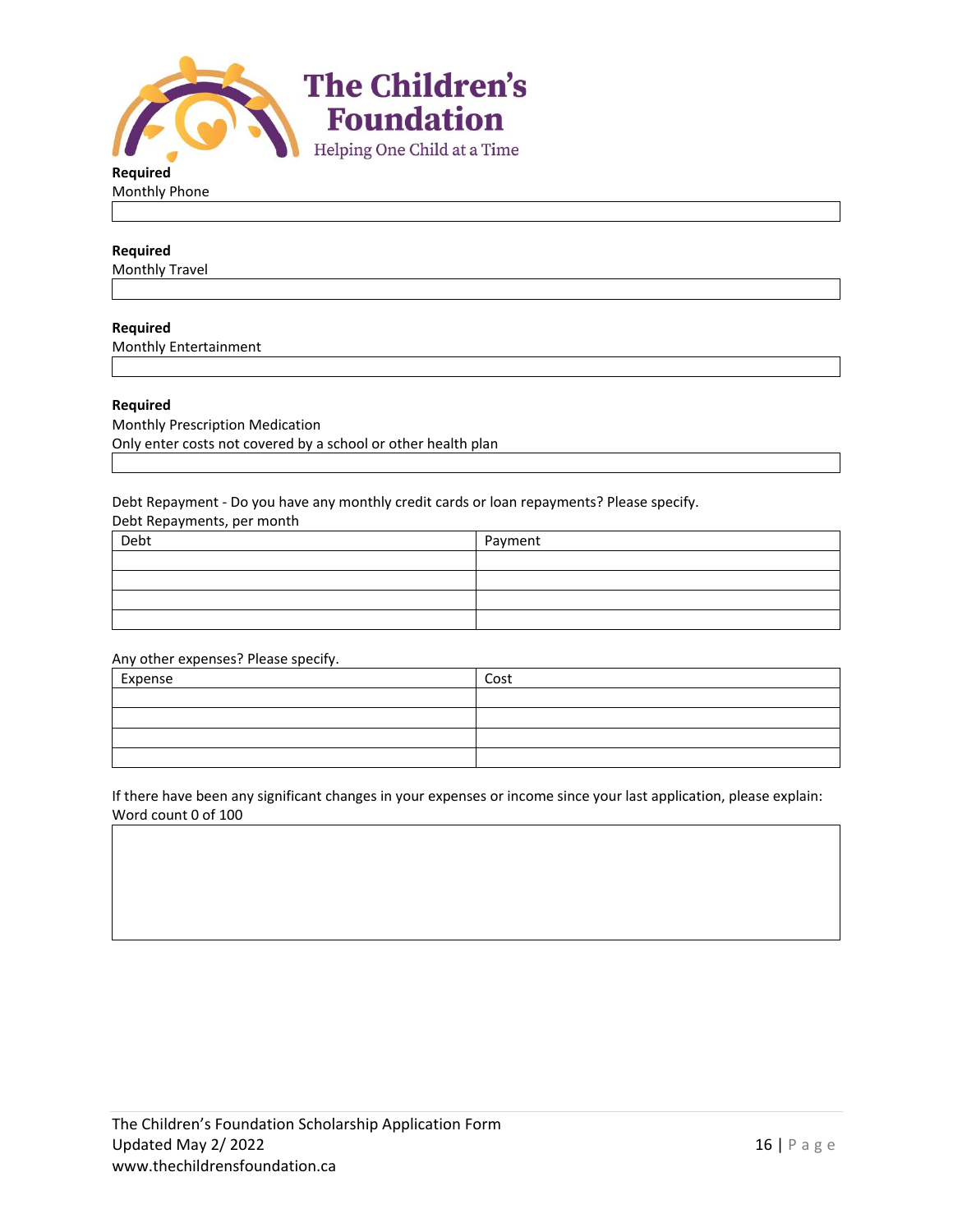

**Required** Monthly Phone

# **Required**

Monthly Travel

#### **Required**

Monthly Entertainment

## **Required**

Monthly Prescription Medication Only enter costs not covered by a school or other health plan

Debt Repayment - Do you have any monthly credit cards or loan repayments? Please specify.

Debt Repayments, per month

| Debt | Payment |
|------|---------|
|      |         |
|      |         |
|      |         |
|      |         |

Any other expenses? Please specify.

| Expense | Cost |
|---------|------|
|         |      |
|         |      |
|         |      |
|         |      |

If there have been any significant changes in your expenses or income since your last application, please explain: Word count 0 of 100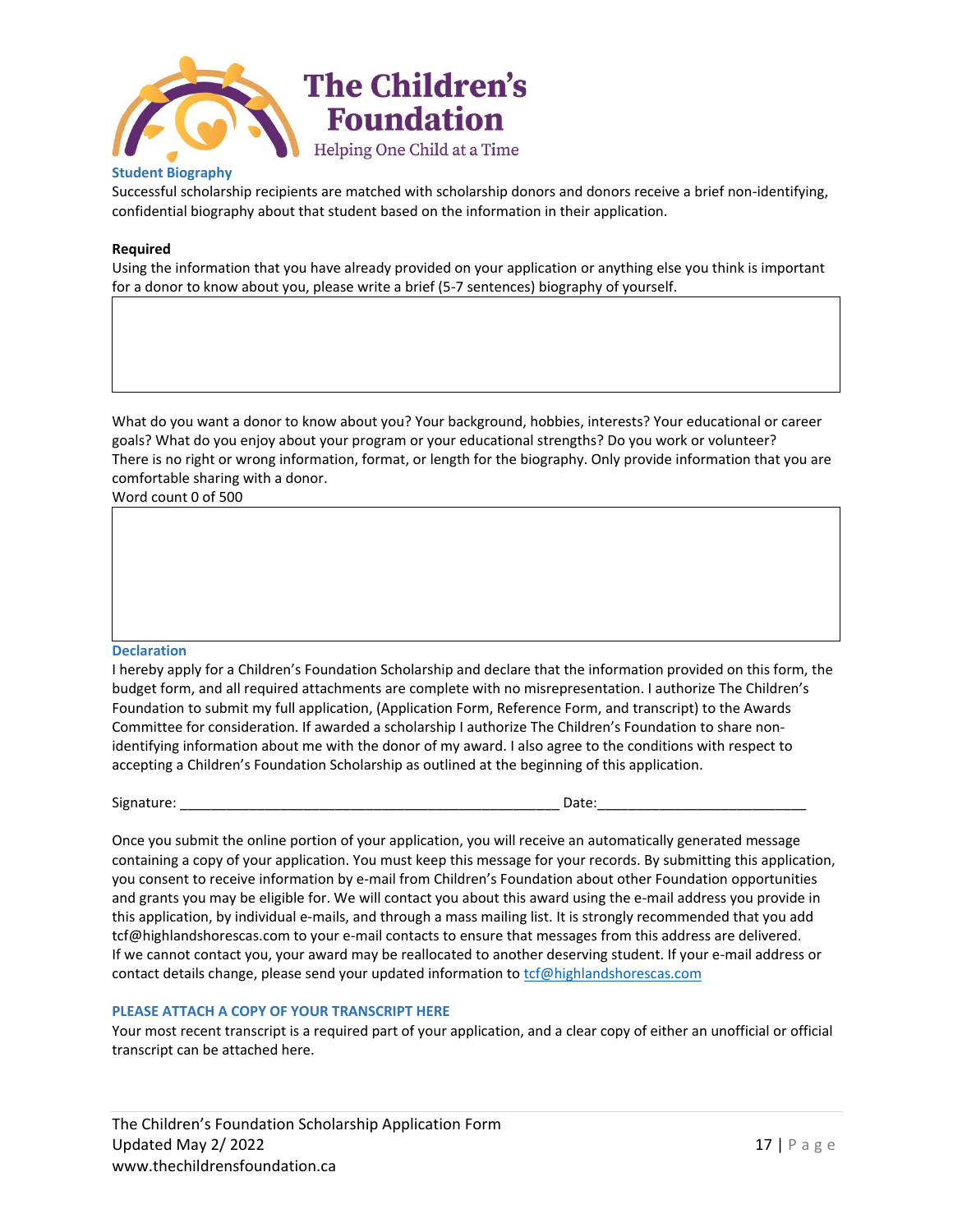

# **Student Biography**

Successful scholarship recipients are matched with scholarship donors and donors receive a brief non-identifying, confidential biography about that student based on the information in their application.

## **Required**

Using the information that you have already provided on your application or anything else you think is important for a donor to know about you, please write a brief (5-7 sentences) biography of yourself.

What do you want a donor to know about you? Your background, hobbies, interests? Your educational or career goals? What do you enjoy about your program or your educational strengths? Do you work or volunteer? There is no right or wrong information, format, or length for the biography. Only provide information that you are comfortable sharing with a donor.

Word count 0 of 500

#### **Declaration**

I hereby apply for a Children's Foundation Scholarship and declare that the information provided on this form, the budget form, and all required attachments are complete with no misrepresentation. I authorize The Children's Foundation to submit my full application, (Application Form, Reference Form, and transcript) to the Awards Committee for consideration. If awarded a scholarship I authorize The Children's Foundation to share nonidentifying information about me with the donor of my award. I also agree to the conditions with respect to accepting a Children's Foundation Scholarship as outlined at the beginning of this application.

Signature: \_\_\_\_\_\_\_\_\_\_\_\_\_\_\_\_\_\_\_\_\_\_\_\_\_\_\_\_\_\_\_\_\_\_\_\_\_\_\_\_\_\_\_\_\_\_\_\_\_ Date:\_\_\_\_\_\_\_\_\_\_\_\_\_\_\_\_\_\_\_\_\_\_\_\_\_\_\_

Once you submit the online portion of your application, you will receive an automatically generated message containing a copy of your application. You must keep this message for your records. By submitting this application, you consent to receive information by e-mail from Children's Foundation about other Foundation opportunities and grants you may be eligible for. We will contact you about this award using the e-mail address you provide in this application, by individual e-mails, and through a mass mailing list. It is strongly recommended that you add tcf@highlandshorescas.com to your e-mail contacts to ensure that messages from this address are delivered. If we cannot contact you, your award may be reallocated to another deserving student. If your e-mail address or contact details change, please send your updated information t[o tcf@highlandshorescas.com](mailto:tcf@highlandshorescas.com)

# **PLEASE ATTACH A COPY OF YOUR TRANSCRIPT HERE**

Your most recent transcript is a required part of your application, and a clear copy of either an unofficial or official transcript can be attached here.